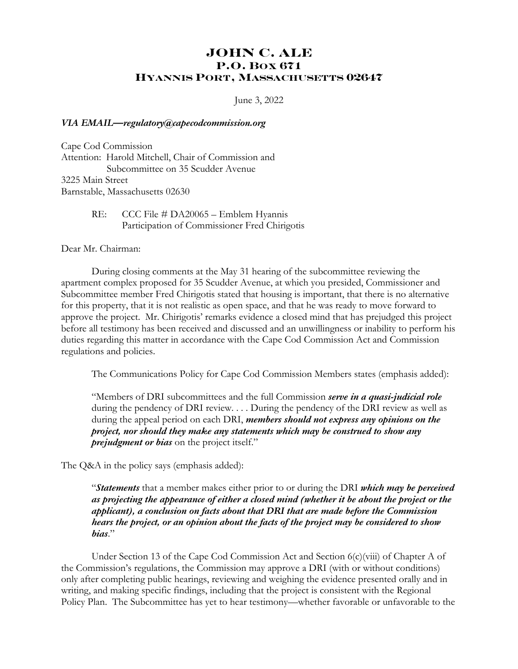## **JOHN C. ALE P.O. BOX 671 HYANNIS PORT, MASSACHUSETTS 02647**

June 3, 2022

## *VIA EMAIL—regulatory@capecodcommission.org*

Cape Cod Commission Attention: Harold Mitchell, Chair of Commission and Subcommittee on 35 Scudder Avenue 3225 Main Street Barnstable, Massachusetts 02630

## RE: CCC File # DA20065 – Emblem Hyannis Participation of Commissioner Fred Chirigotis

Dear Mr. Chairman:

During closing comments at the May 31 hearing of the subcommittee reviewing the apartment complex proposed for 35 Scudder Avenue, at which you presided, Commissioner and Subcommittee member Fred Chirigotis stated that housing is important, that there is no alternative for this property, that it is not realistic as open space, and that he was ready to move forward to approve the project. Mr. Chirigotis' remarks evidence a closed mind that has prejudged this project before all testimony has been received and discussed and an unwillingness or inability to perform his duties regarding this matter in accordance with the Cape Cod Commission Act and Commission regulations and policies.

The Communications Policy for Cape Cod Commission Members states (emphasis added):

"Members of DRI subcommittees and the full Commission *serve in a quasi-judicial role* during the pendency of DRI review. . . . During the pendency of the DRI review as well as during the appeal period on each DRI, *members should not express any opinions on the project, nor should they make any statements which may be construed to show any prejudgment or bias* on the project itself."

The Q&A in the policy says (emphasis added):

"*Statements* that a member makes either prior to or during the DRI *which may be perceived as projecting the appearance of either a closed mind (whether it be about the project or the applicant), a conclusion on facts about that DRI that are made before the Commission hears the project, or an opinion about the facts of the project may be considered to show bias*."

Under Section 13 of the Cape Cod Commission Act and Section 6(c)(viii) of Chapter A of the Commission's regulations, the Commission may approve a DRI (with or without conditions) only after completing public hearings, reviewing and weighing the evidence presented orally and in writing, and making specific findings, including that the project is consistent with the Regional Policy Plan. The Subcommittee has yet to hear testimony—whether favorable or unfavorable to the